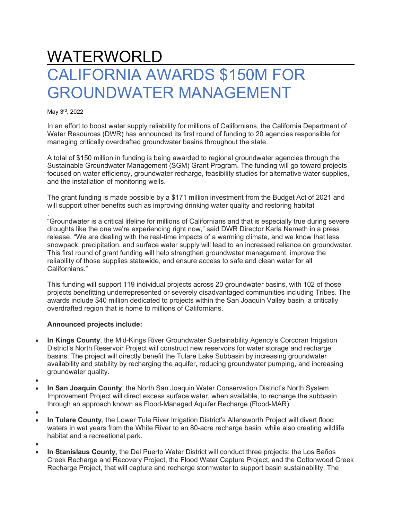## WATERWORLD CALIFORNIA AWARDS \$150M FOR GROUNDWATER MANAGEMENT

May 3rd, 2022

In an effort to boost water supply reliability for millions of Californians, the California Department of Water Resources (DWR) has announced its first round of funding to 20 agencies responsible for managing critically overdrafted groundwater basins throughout the state.

A total of \$150 million in funding is being awarded to regional groundwater agencies through the Sustainable Groundwater Management (SGM) Grant Program. The funding will go toward projects focused on water efficiency, groundwater recharge, feasibility studies for alternative water supplies. and the installation of monitoring wells.

The grant funding is made possible by a \$171 million investment from the Budget Act of 2021 and will support other benefits such as improving drinking water quality and restoring habitat

. "Groundwater is a critical lifeline for millions of Californians and that is especially true during severe droughts like the one we're experiencing right now," said DWR Director Karla Nemeth in a press release. "We are dealing with the real-time impacts of a warming climate, and we know that less snowpack, precipitation, and surface water supply will lead to an increased reliance on groundwater. This first round of grant funding will help strengthen groundwater management, improve the reliability of those supplies statewide, and ensure access to safe and clean water for all Californians."

This funding will support 119 individual projects across 20 groundwater basins, with 102 of those projects benefitting underrepresented or severely disadvantaged communities including Tribes. The awards include \$40 million dedicated to projects within the San Joaquin Valley basin, a critically overdrafted region that is home to millions of Californians.

## **Announced projects include:**

- **In Kings County**, the Mid-Kings River Groundwater Sustainability Agency's Corcoran Irrigation District's North Reservoir Project will construct new reservoirs for water storage and recharge basins. The project will directly benefit the Tulare Lake Subbasin by increasing groundwater availability and stability by recharging the aquifer, reducing groundwater pumping, and increasing groundwater quality.
- •
- **In San Joaquin County**, the North San Joaquin Water Conservation District's North System Improvement Project will direct excess surface water, when available, to recharge the subbasin through an approach known as Flood-Managed Aquifer Recharge (Flood-MAR).
- •
- **In Tulare County**, the Lower Tule River Irrigation District's Allensworth Project will divert flood waters in wet years from the White River to an 80-acre recharge basin, while also creating wildlife habitat and a recreational park.
- •
- **In Stanislaus County**, the Del Puerto Water District will conduct three projects: the Los Baños Creek Recharge and Recovery Project, the Flood Water Capture Project, and the Cottonwood Creek Recharge Project, that will capture and recharge stormwater to support basin sustainability. The